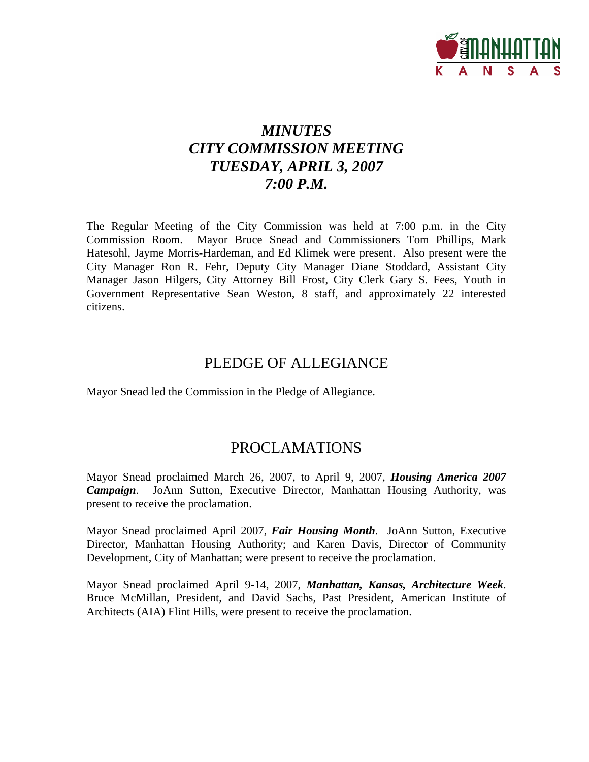

# *MINUTES CITY COMMISSION MEETING TUESDAY, APRIL 3, 2007 7:00 P.M.*

The Regular Meeting of the City Commission was held at 7:00 p.m. in the City Commission Room. Mayor Bruce Snead and Commissioners Tom Phillips, Mark Hatesohl, Jayme Morris-Hardeman, and Ed Klimek were present. Also present were the City Manager Ron R. Fehr, Deputy City Manager Diane Stoddard, Assistant City Manager Jason Hilgers, City Attorney Bill Frost, City Clerk Gary S. Fees, Youth in Government Representative Sean Weston, 8 staff, and approximately 22 interested citizens.

## PLEDGE OF ALLEGIANCE

Mayor Snead led the Commission in the Pledge of Allegiance.

## PROCLAMATIONS

Mayor Snead proclaimed March 26, 2007, to April 9, 2007, *Housing America 2007 Campaign*. JoAnn Sutton, Executive Director, Manhattan Housing Authority, was present to receive the proclamation.

Mayor Snead proclaimed April 2007, *Fair Housing Month*. JoAnn Sutton, Executive Director, Manhattan Housing Authority; and Karen Davis, Director of Community Development, City of Manhattan; were present to receive the proclamation.

Mayor Snead proclaimed April 9-14, 2007, *Manhattan, Kansas, Architecture Week*. Bruce McMillan, President, and David Sachs, Past President, American Institute of Architects (AIA) Flint Hills, were present to receive the proclamation.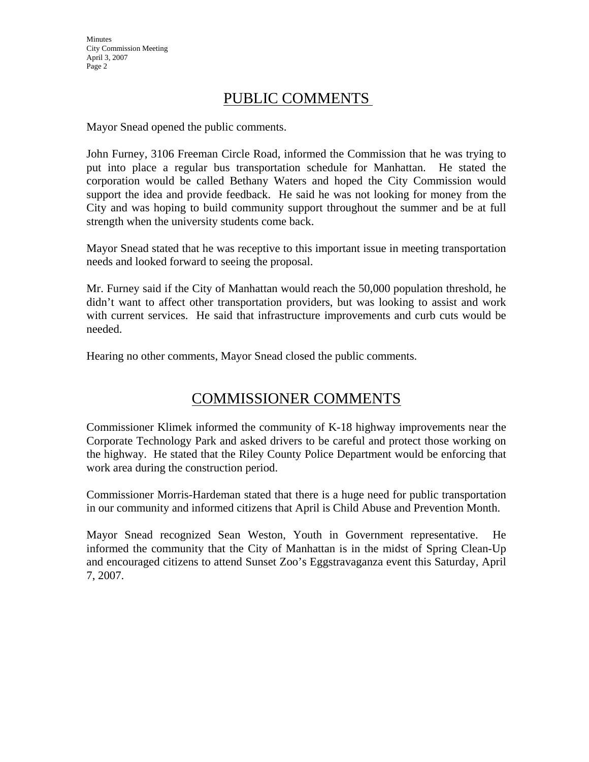## PUBLIC COMMENTS

Mayor Snead opened the public comments.

John Furney, 3106 Freeman Circle Road, informed the Commission that he was trying to put into place a regular bus transportation schedule for Manhattan. He stated the corporation would be called Bethany Waters and hoped the City Commission would support the idea and provide feedback. He said he was not looking for money from the City and was hoping to build community support throughout the summer and be at full strength when the university students come back.

Mayor Snead stated that he was receptive to this important issue in meeting transportation needs and looked forward to seeing the proposal.

Mr. Furney said if the City of Manhattan would reach the 50,000 population threshold, he didn't want to affect other transportation providers, but was looking to assist and work with current services. He said that infrastructure improvements and curb cuts would be needed.

Hearing no other comments, Mayor Snead closed the public comments.

# COMMISSIONER COMMENTS

Commissioner Klimek informed the community of K-18 highway improvements near the Corporate Technology Park and asked drivers to be careful and protect those working on the highway. He stated that the Riley County Police Department would be enforcing that work area during the construction period.

Commissioner Morris-Hardeman stated that there is a huge need for public transportation in our community and informed citizens that April is Child Abuse and Prevention Month.

Mayor Snead recognized Sean Weston, Youth in Government representative. He informed the community that the City of Manhattan is in the midst of Spring Clean-Up and encouraged citizens to attend Sunset Zoo's Eggstravaganza event this Saturday, April 7, 2007.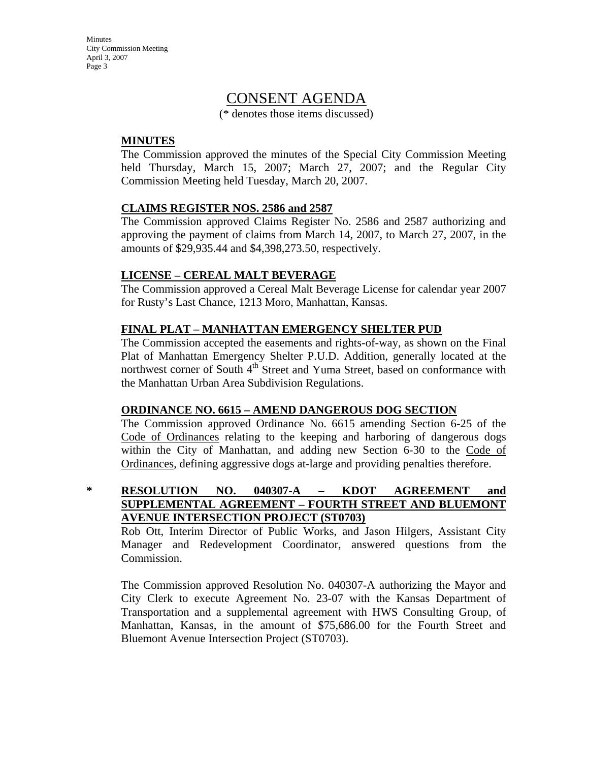## CONSENT AGENDA

(\* denotes those items discussed)

### **MINUTES**

The Commission approved the minutes of the Special City Commission Meeting held Thursday, March 15, 2007; March 27, 2007; and the Regular City Commission Meeting held Tuesday, March 20, 2007.

### **CLAIMS REGISTER NOS. 2586 and 2587**

The Commission approved Claims Register No. 2586 and 2587 authorizing and approving the payment of claims from March 14, 2007, to March 27, 2007, in the amounts of \$29,935.44 and \$4,398,273.50, respectively.

### **LICENSE – CEREAL MALT BEVERAGE**

The Commission approved a Cereal Malt Beverage License for calendar year 2007 for Rusty's Last Chance, 1213 Moro, Manhattan, Kansas.

### **FINAL PLAT – MANHATTAN EMERGENCY SHELTER PUD**

The Commission accepted the easements and rights-of-way, as shown on the Final Plat of Manhattan Emergency Shelter P.U.D. Addition, generally located at the northwest corner of South 4<sup>th</sup> Street and Yuma Street, based on conformance with the Manhattan Urban Area Subdivision Regulations.

#### **ORDINANCE NO. 6615 – AMEND DANGEROUS DOG SECTION**

The Commission approved Ordinance No. 6615 amending Section 6-25 of the Code of Ordinances relating to the keeping and harboring of dangerous dogs within the City of Manhattan, and adding new Section 6-30 to the Code of Ordinances, defining aggressive dogs at-large and providing penalties therefore.

**\* RESOLUTION NO. 040307-A – KDOT AGREEMENT and SUPPLEMENTAL AGREEMENT – FOURTH STREET AND BLUEMONT AVENUE INTERSECTION PROJECT (ST0703)**

Rob Ott, Interim Director of Public Works, and Jason Hilgers, Assistant City Manager and Redevelopment Coordinator, answered questions from the Commission.

The Commission approved Resolution No. 040307-A authorizing the Mayor and City Clerk to execute Agreement No. 23-07 with the Kansas Department of Transportation and a supplemental agreement with HWS Consulting Group, of Manhattan, Kansas, in the amount of \$75,686.00 for the Fourth Street and Bluemont Avenue Intersection Project (ST0703).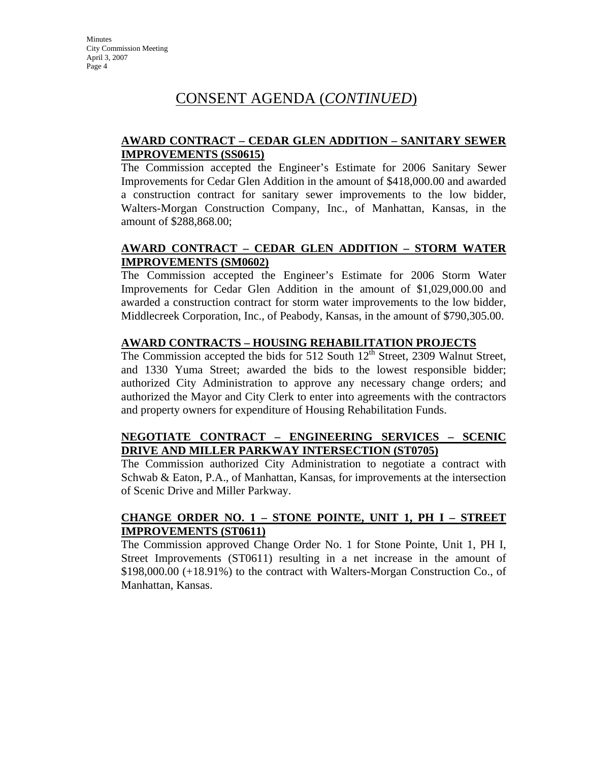## CONSENT AGENDA (*CONTINUED*)

## **AWARD CONTRACT – CEDAR GLEN ADDITION – SANITARY SEWER IMPROVEMENTS (SS0615)**

The Commission accepted the Engineer's Estimate for 2006 Sanitary Sewer Improvements for Cedar Glen Addition in the amount of \$418,000.00 and awarded a construction contract for sanitary sewer improvements to the low bidder, Walters-Morgan Construction Company, Inc., of Manhattan, Kansas, in the amount of \$288,868.00;

## **AWARD CONTRACT – CEDAR GLEN ADDITION – STORM WATER IMPROVEMENTS (SM0602)**

The Commission accepted the Engineer's Estimate for 2006 Storm Water Improvements for Cedar Glen Addition in the amount of \$1,029,000.00 and awarded a construction contract for storm water improvements to the low bidder, Middlecreek Corporation, Inc., of Peabody, Kansas, in the amount of \$790,305.00.

### **AWARD CONTRACTS – HOUSING REHABILITATION PROJECTS**

The Commission accepted the bids for 512 South  $12<sup>th</sup>$  Street, 2309 Walnut Street, and 1330 Yuma Street; awarded the bids to the lowest responsible bidder; authorized City Administration to approve any necessary change orders; and authorized the Mayor and City Clerk to enter into agreements with the contractors and property owners for expenditure of Housing Rehabilitation Funds.

## **NEGOTIATE CONTRACT – ENGINEERING SERVICES – SCENIC DRIVE AND MILLER PARKWAY INTERSECTION (ST0705)**

The Commission authorized City Administration to negotiate a contract with Schwab & Eaton, P.A., of Manhattan, Kansas, for improvements at the intersection of Scenic Drive and Miller Parkway.

### **CHANGE ORDER NO. 1 – STONE POINTE, UNIT 1, PH I – STREET IMPROVEMENTS (ST0611)**

The Commission approved Change Order No. 1 for Stone Pointe, Unit 1, PH I, Street Improvements (ST0611) resulting in a net increase in the amount of \$198,000.00 (+18.91%) to the contract with Walters-Morgan Construction Co., of Manhattan, Kansas.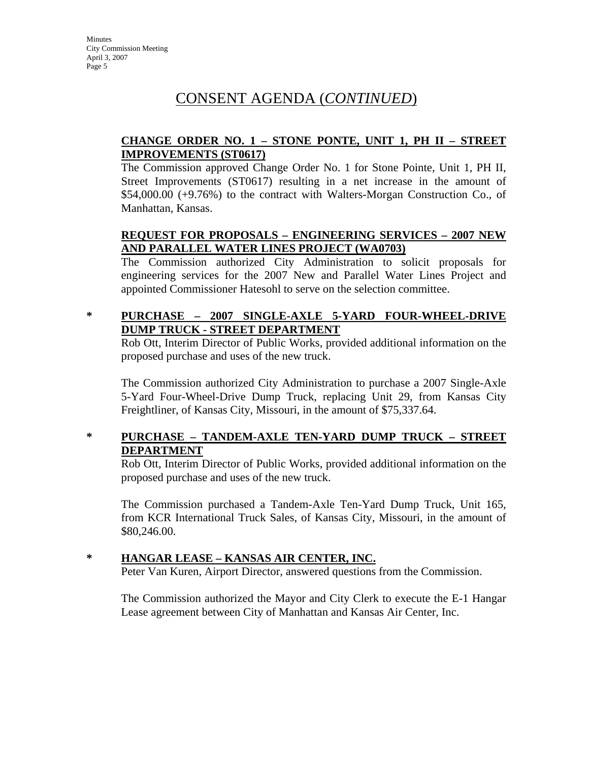# CONSENT AGENDA (*CONTINUED*)

## **CHANGE ORDER NO. 1 – STONE PONTE, UNIT 1, PH II – STREET IMPROVEMENTS (ST0617)**

The Commission approved Change Order No. 1 for Stone Pointe, Unit 1, PH II, Street Improvements (ST0617) resulting in a net increase in the amount of \$54,000.00 (+9.76%) to the contract with Walters-Morgan Construction Co., of Manhattan, Kansas.

## **REQUEST FOR PROPOSALS – ENGINEERING SERVICES – 2007 NEW AND PARALLEL WATER LINES PROJECT (WA0703)**

The Commission authorized City Administration to solicit proposals for engineering services for the 2007 New and Parallel Water Lines Project and appointed Commissioner Hatesohl to serve on the selection committee.

## **\* PURCHASE – 2007 SINGLE-AXLE 5-YARD FOUR-WHEEL-DRIVE DUMP TRUCK - STREET DEPARTMENT**

Rob Ott, Interim Director of Public Works, provided additional information on the proposed purchase and uses of the new truck.

The Commission authorized City Administration to purchase a 2007 Single-Axle 5-Yard Four-Wheel-Drive Dump Truck, replacing Unit 29, from Kansas City Freightliner, of Kansas City, Missouri, in the amount of \$75,337.64.

## **\* PURCHASE – TANDEM-AXLE TEN-YARD DUMP TRUCK – STREET DEPARTMENT**

Rob Ott, Interim Director of Public Works, provided additional information on the proposed purchase and uses of the new truck.

The Commission purchased a Tandem-Axle Ten-Yard Dump Truck, Unit 165, from KCR International Truck Sales, of Kansas City, Missouri, in the amount of \$80,246.00.

## **\* HANGAR LEASE – KANSAS AIR CENTER, INC.**

Peter Van Kuren, Airport Director, answered questions from the Commission.

The Commission authorized the Mayor and City Clerk to execute the E-1 Hangar Lease agreement between City of Manhattan and Kansas Air Center, Inc.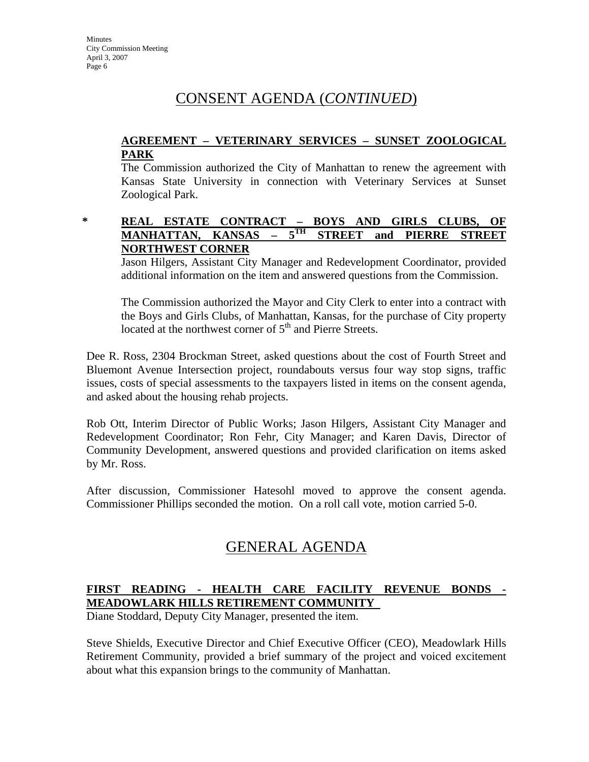## CONSENT AGENDA (*CONTINUED*)

## **AGREEMENT – VETERINARY SERVICES – SUNSET ZOOLOGICAL PARK**

The Commission authorized the City of Manhattan to renew the agreement with Kansas State University in connection with Veterinary Services at Sunset Zoological Park.

### **\* REAL ESTATE CONTRACT – BOYS AND GIRLS CLUBS, OF MANHATTAN, KANSAS – 5TH STREET and PIERRE STREET NORTHWEST CORNER**

Jason Hilgers, Assistant City Manager and Redevelopment Coordinator, provided additional information on the item and answered questions from the Commission.

The Commission authorized the Mayor and City Clerk to enter into a contract with the Boys and Girls Clubs, of Manhattan, Kansas, for the purchase of City property located at the northwest corner of 5<sup>th</sup> and Pierre Streets.

Dee R. Ross, 2304 Brockman Street, asked questions about the cost of Fourth Street and Bluemont Avenue Intersection project, roundabouts versus four way stop signs, traffic issues, costs of special assessments to the taxpayers listed in items on the consent agenda, and asked about the housing rehab projects.

Rob Ott, Interim Director of Public Works; Jason Hilgers, Assistant City Manager and Redevelopment Coordinator; Ron Fehr, City Manager; and Karen Davis, Director of Community Development, answered questions and provided clarification on items asked by Mr. Ross.

After discussion, Commissioner Hatesohl moved to approve the consent agenda. Commissioner Phillips seconded the motion. On a roll call vote, motion carried 5-0.

# GENERAL AGENDA

## **FIRST READING - HEALTH CARE FACILITY REVENUE BONDS - MEADOWLARK HILLS RETIREMENT COMMUNITY**

Diane Stoddard, Deputy City Manager, presented the item.

Steve Shields, Executive Director and Chief Executive Officer (CEO), Meadowlark Hills Retirement Community, provided a brief summary of the project and voiced excitement about what this expansion brings to the community of Manhattan.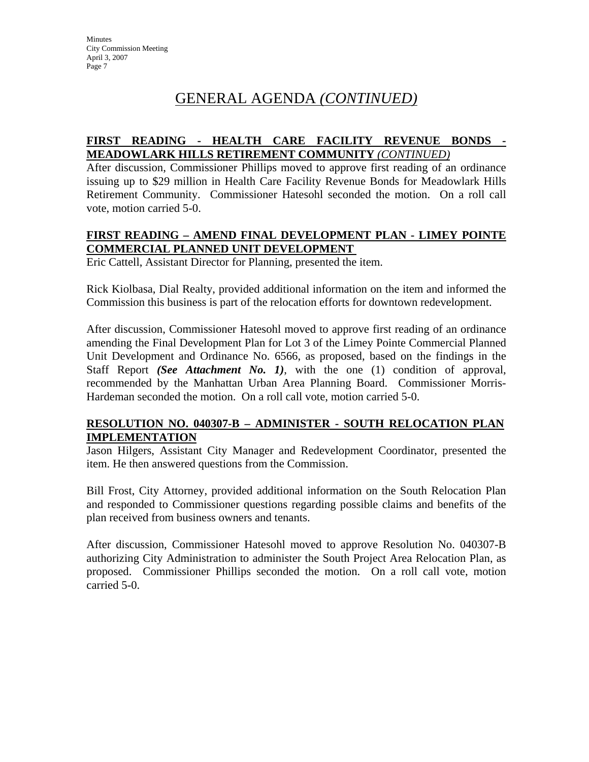## GENERAL AGENDA *(CONTINUED)*

## **FIRST READING - HEALTH CARE FACILITY REVENUE BONDS - MEADOWLARK HILLS RETIREMENT COMMUNITY** *(CONTINUED)*

After discussion, Commissioner Phillips moved to approve first reading of an ordinance issuing up to \$29 million in Health Care Facility Revenue Bonds for Meadowlark Hills Retirement Community. Commissioner Hatesohl seconded the motion. On a roll call vote, motion carried 5-0.

## **FIRST READING – AMEND FINAL DEVELOPMENT PLAN - LIMEY POINTE COMMERCIAL PLANNED UNIT DEVELOPMENT**

Eric Cattell, Assistant Director for Planning, presented the item.

Rick Kiolbasa, Dial Realty, provided additional information on the item and informed the Commission this business is part of the relocation efforts for downtown redevelopment.

After discussion, Commissioner Hatesohl moved to approve first reading of an ordinance amending the Final Development Plan for Lot 3 of the Limey Pointe Commercial Planned Unit Development and Ordinance No. 6566, as proposed, based on the findings in the Staff Report *(See Attachment No. 1)*, with the one (1) condition of approval, recommended by the Manhattan Urban Area Planning Board. Commissioner Morris-Hardeman seconded the motion. On a roll call vote, motion carried 5-0.

## **RESOLUTION NO. 040307-B – ADMINISTER - SOUTH RELOCATION PLAN IMPLEMENTATION**

Jason Hilgers, Assistant City Manager and Redevelopment Coordinator, presented the item. He then answered questions from the Commission.

Bill Frost, City Attorney, provided additional information on the South Relocation Plan and responded to Commissioner questions regarding possible claims and benefits of the plan received from business owners and tenants.

After discussion, Commissioner Hatesohl moved to approve Resolution No. 040307-B authorizing City Administration to administer the South Project Area Relocation Plan, as proposed. Commissioner Phillips seconded the motion. On a roll call vote, motion carried 5-0.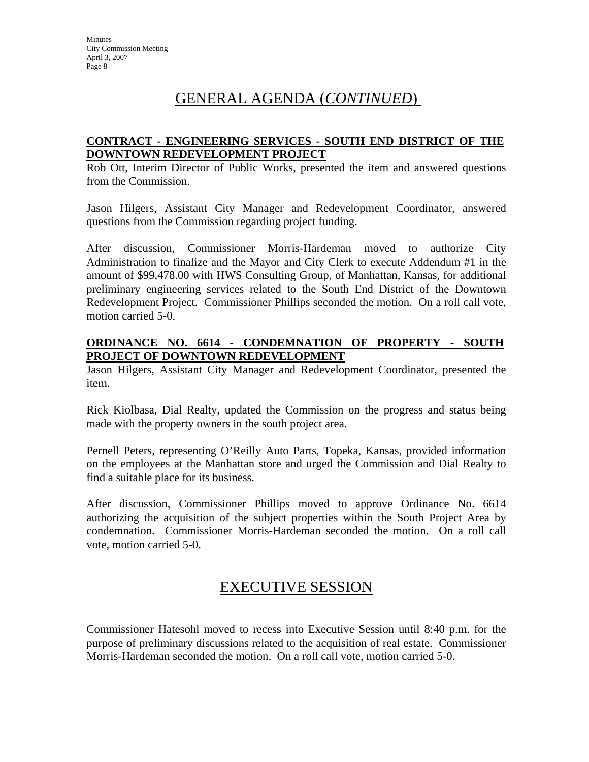## GENERAL AGENDA (*CONTINUED*)

## **CONTRACT - ENGINEERING SERVICES - SOUTH END DISTRICT OF THE DOWNTOWN REDEVELOPMENT PROJECT**

Rob Ott, Interim Director of Public Works, presented the item and answered questions from the Commission.

Jason Hilgers, Assistant City Manager and Redevelopment Coordinator, answered questions from the Commission regarding project funding.

After discussion, Commissioner Morris-Hardeman moved to authorize City Administration to finalize and the Mayor and City Clerk to execute Addendum #1 in the amount of \$99,478.00 with HWS Consulting Group, of Manhattan, Kansas, for additional preliminary engineering services related to the South End District of the Downtown Redevelopment Project. Commissioner Phillips seconded the motion. On a roll call vote, motion carried 5-0.

## **ORDINANCE NO. 6614 - CONDEMNATION OF PROPERTY - SOUTH PROJECT OF DOWNTOWN REDEVELOPMENT**

Jason Hilgers, Assistant City Manager and Redevelopment Coordinator, presented the item.

Rick Kiolbasa, Dial Realty, updated the Commission on the progress and status being made with the property owners in the south project area.

Pernell Peters, representing O'Reilly Auto Parts, Topeka, Kansas, provided information on the employees at the Manhattan store and urged the Commission and Dial Realty to find a suitable place for its business.

After discussion, Commissioner Phillips moved to approve Ordinance No. 6614 authorizing the acquisition of the subject properties within the South Project Area by condemnation. Commissioner Morris-Hardeman seconded the motion. On a roll call vote, motion carried 5-0.

## EXECUTIVE SESSION

Commissioner Hatesohl moved to recess into Executive Session until 8:40 p.m. for the purpose of preliminary discussions related to the acquisition of real estate. Commissioner Morris-Hardeman seconded the motion. On a roll call vote, motion carried 5-0.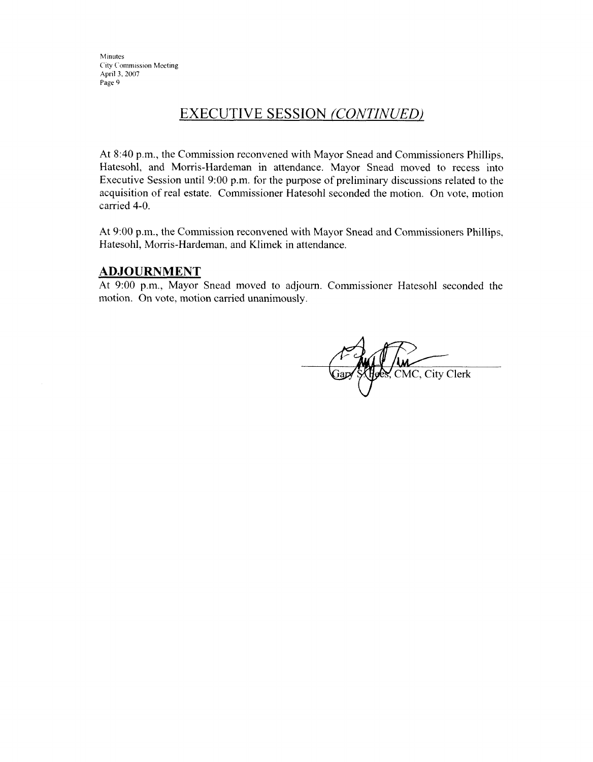## **EXECUTIVE SESSION (CONTINUED)**

At 8:40 p.m., the Commission reconvened with Mayor Snead and Commissioners Phillips, Hatesohl, and Morris-Hardeman in attendance. Mayor Snead moved to recess into Executive Session until 9:00 p.m. for the purpose of preliminary discussions related to the acquisition of real estate. Commissioner Hatesohl seconded the motion. On vote, motion carried 4-0.

At 9:00 p.m., the Commission reconvened with Mayor Snead and Commissioners Phillips, Hatesohl, Morris-Hardeman, and Klimek in attendance.

#### **ADJOURNMENT**

At 9:00 p.m., Mayor Snead moved to adjourn. Commissioner Hatesohl seconded the motion. On vote, motion carried unanimously.

CMC, City Clerk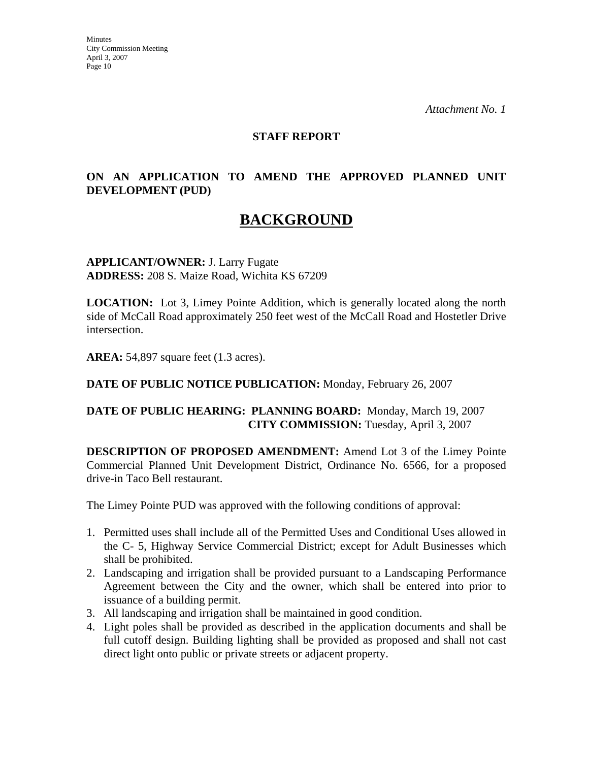*Attachment No. 1* 

#### **STAFF REPORT**

## **ON AN APPLICATION TO AMEND THE APPROVED PLANNED UNIT DEVELOPMENT (PUD)**

## **BACKGROUND**

**APPLICANT/OWNER:** J. Larry Fugate **ADDRESS:** 208 S. Maize Road, Wichita KS 67209

**LOCATION:** Lot 3, Limey Pointe Addition, which is generally located along the north side of McCall Road approximately 250 feet west of the McCall Road and Hostetler Drive intersection.

**AREA:** 54,897 square feet (1.3 acres).

**DATE OF PUBLIC NOTICE PUBLICATION:** Monday, February 26, 2007

## **DATE OF PUBLIC HEARING: PLANNING BOARD:** Monday, March 19, 2007 **CITY COMMISSION:** Tuesday, April 3, 2007

**DESCRIPTION OF PROPOSED AMENDMENT:** Amend Lot 3 of the Limey Pointe Commercial Planned Unit Development District, Ordinance No. 6566, for a proposed drive-in Taco Bell restaurant.

The Limey Pointe PUD was approved with the following conditions of approval:

- 1. Permitted uses shall include all of the Permitted Uses and Conditional Uses allowed in the C- 5, Highway Service Commercial District; except for Adult Businesses which shall be prohibited.
- 2. Landscaping and irrigation shall be provided pursuant to a Landscaping Performance Agreement between the City and the owner, which shall be entered into prior to issuance of a building permit.
- 3. All landscaping and irrigation shall be maintained in good condition.
- 4. Light poles shall be provided as described in the application documents and shall be full cutoff design. Building lighting shall be provided as proposed and shall not cast direct light onto public or private streets or adjacent property.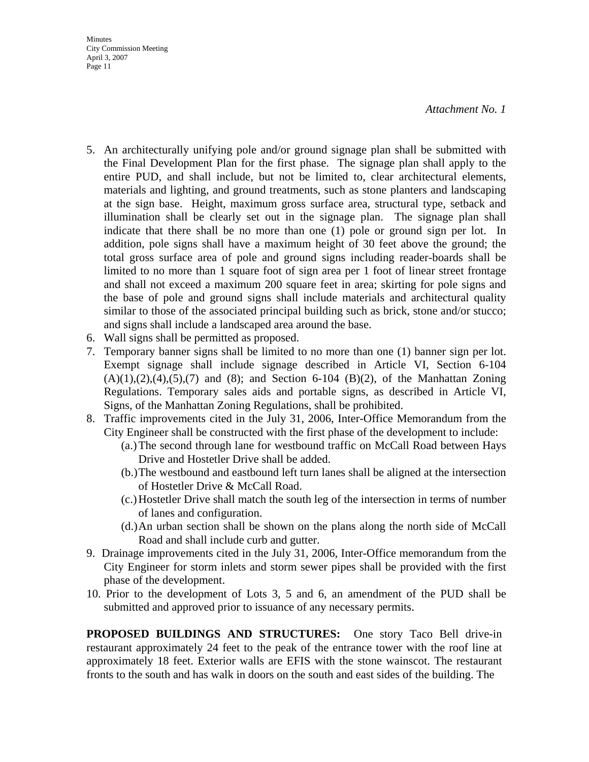*Attachment No. 1* 

- 5. An architecturally unifying pole and/or ground signage plan shall be submitted with the Final Development Plan for the first phase. The signage plan shall apply to the entire PUD, and shall include, but not be limited to, clear architectural elements, materials and lighting, and ground treatments, such as stone planters and landscaping at the sign base. Height, maximum gross surface area, structural type, setback and illumination shall be clearly set out in the signage plan. The signage plan shall indicate that there shall be no more than one (1) pole or ground sign per lot. In addition, pole signs shall have a maximum height of 30 feet above the ground; the total gross surface area of pole and ground signs including reader-boards shall be limited to no more than 1 square foot of sign area per 1 foot of linear street frontage and shall not exceed a maximum 200 square feet in area; skirting for pole signs and the base of pole and ground signs shall include materials and architectural quality similar to those of the associated principal building such as brick, stone and/or stucco; and signs shall include a landscaped area around the base.
- 6. Wall signs shall be permitted as proposed.
- 7. Temporary banner signs shall be limited to no more than one (1) banner sign per lot. Exempt signage shall include signage described in Article VI, Section 6-104  $(A)(1),(2),(4),(5),(7)$  and  $(8)$ ; and Section 6-104  $(B)(2)$ , of the Manhattan Zoning Regulations. Temporary sales aids and portable signs, as described in Article VI, Signs, of the Manhattan Zoning Regulations, shall be prohibited.
- 8. Traffic improvements cited in the July 31, 2006, Inter-Office Memorandum from the City Engineer shall be constructed with the first phase of the development to include:
	- (a.) The second through lane for westbound traffic on McCall Road between Hays Drive and Hostetler Drive shall be added.
	- (b.) The westbound and eastbound left turn lanes shall be aligned at the intersection of Hostetler Drive & McCall Road.
	- (c.) Hostetler Drive shall match the south leg of the intersection in terms of number of lanes and configuration.
	- (d.) An urban section shall be shown on the plans along the north side of McCall Road and shall include curb and gutter.
- 9. Drainage improvements cited in the July 31, 2006, Inter-Office memorandum from the City Engineer for storm inlets and storm sewer pipes shall be provided with the first phase of the development.
- 10. Prior to the development of Lots 3, 5 and 6, an amendment of the PUD shall be submitted and approved prior to issuance of any necessary permits.

**PROPOSED BUILDINGS AND STRUCTURES:** One story Taco Bell drive-in restaurant approximately 24 feet to the peak of the entrance tower with the roof line at approximately 18 feet. Exterior walls are EFIS with the stone wainscot. The restaurant fronts to the south and has walk in doors on the south and east sides of the building. The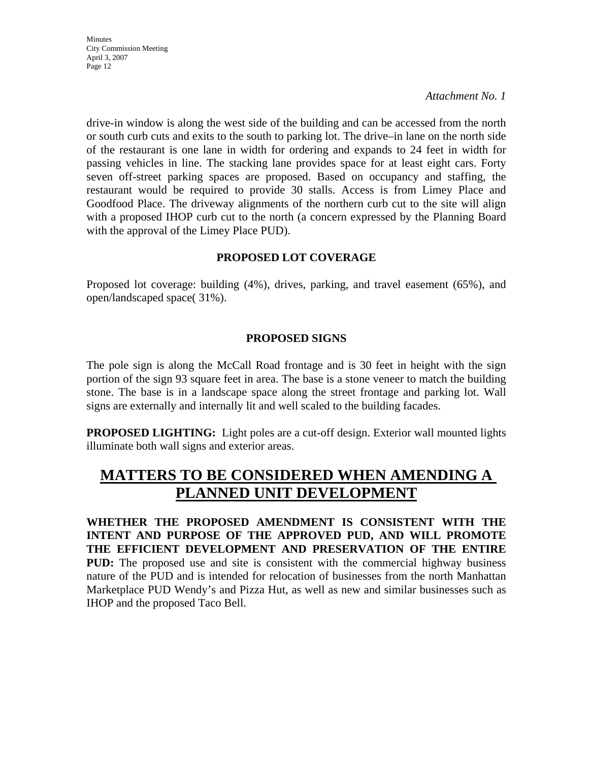*Attachment No. 1* 

drive-in window is along the west side of the building and can be accessed from the north or south curb cuts and exits to the south to parking lot. The drive–in lane on the north side of the restaurant is one lane in width for ordering and expands to 24 feet in width for passing vehicles in line. The stacking lane provides space for at least eight cars. Forty seven off-street parking spaces are proposed. Based on occupancy and staffing, the restaurant would be required to provide 30 stalls. Access is from Limey Place and Goodfood Place. The driveway alignments of the northern curb cut to the site will align with a proposed IHOP curb cut to the north (a concern expressed by the Planning Board with the approval of the Limey Place PUD).

## **PROPOSED LOT COVERAGE**

Proposed lot coverage: building (4%), drives, parking, and travel easement (65%), and open/landscaped space( 31%).

### **PROPOSED SIGNS**

The pole sign is along the McCall Road frontage and is 30 feet in height with the sign portion of the sign 93 square feet in area. The base is a stone veneer to match the building stone. The base is in a landscape space along the street frontage and parking lot. Wall signs are externally and internally lit and well scaled to the building facades.

**PROPOSED LIGHTING:** Light poles are a cut-off design. Exterior wall mounted lights illuminate both wall signs and exterior areas.

# **MATTERS TO BE CONSIDERED WHEN AMENDING A PLANNED UNIT DEVELOPMENT**

**WHETHER THE PROPOSED AMENDMENT IS CONSISTENT WITH THE INTENT AND PURPOSE OF THE APPROVED PUD, AND WILL PROMOTE THE EFFICIENT DEVELOPMENT AND PRESERVATION OF THE ENTIRE PUD:** The proposed use and site is consistent with the commercial highway business nature of the PUD and is intended for relocation of businesses from the north Manhattan Marketplace PUD Wendy's and Pizza Hut, as well as new and similar businesses such as IHOP and the proposed Taco Bell.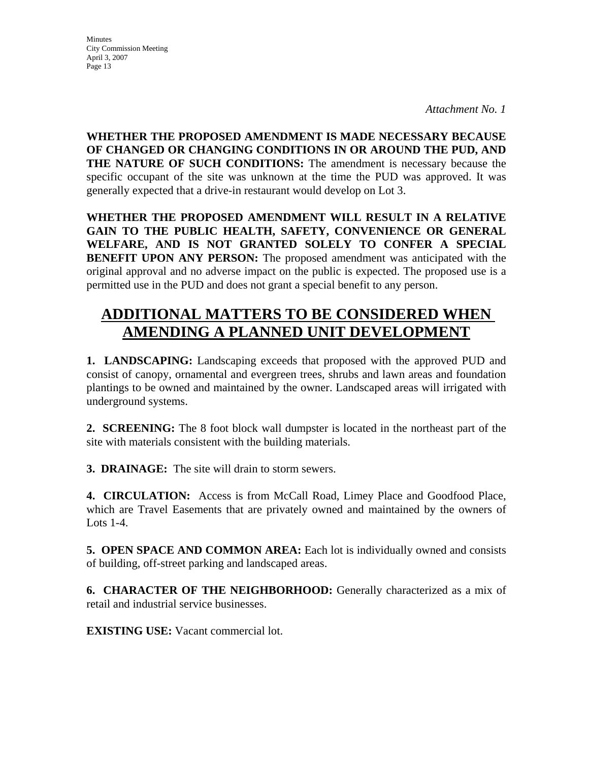*Attachment No. 1* 

**WHETHER THE PROPOSED AMENDMENT IS MADE NECESSARY BECAUSE OF CHANGED OR CHANGING CONDITIONS IN OR AROUND THE PUD, AND THE NATURE OF SUCH CONDITIONS:** The amendment is necessary because the specific occupant of the site was unknown at the time the PUD was approved. It was generally expected that a drive-in restaurant would develop on Lot 3.

**WHETHER THE PROPOSED AMENDMENT WILL RESULT IN A RELATIVE GAIN TO THE PUBLIC HEALTH, SAFETY, CONVENIENCE OR GENERAL WELFARE, AND IS NOT GRANTED SOLELY TO CONFER A SPECIAL BENEFIT UPON ANY PERSON:** The proposed amendment was anticipated with the original approval and no adverse impact on the public is expected. The proposed use is a permitted use in the PUD and does not grant a special benefit to any person.

# **ADDITIONAL MATTERS TO BE CONSIDERED WHEN AMENDING A PLANNED UNIT DEVELOPMENT**

**1. LANDSCAPING:** Landscaping exceeds that proposed with the approved PUD and consist of canopy, ornamental and evergreen trees, shrubs and lawn areas and foundation plantings to be owned and maintained by the owner. Landscaped areas will irrigated with underground systems.

**2. SCREENING:** The 8 foot block wall dumpster is located in the northeast part of the site with materials consistent with the building materials.

**3. DRAINAGE:** The site will drain to storm sewers.

**4. CIRCULATION:** Access is from McCall Road, Limey Place and Goodfood Place, which are Travel Easements that are privately owned and maintained by the owners of Lots 1-4.

**5. OPEN SPACE AND COMMON AREA:** Each lot is individually owned and consists of building, off-street parking and landscaped areas.

**6. CHARACTER OF THE NEIGHBORHOOD:** Generally characterized as a mix of retail and industrial service businesses.

**EXISTING USE:** Vacant commercial lot.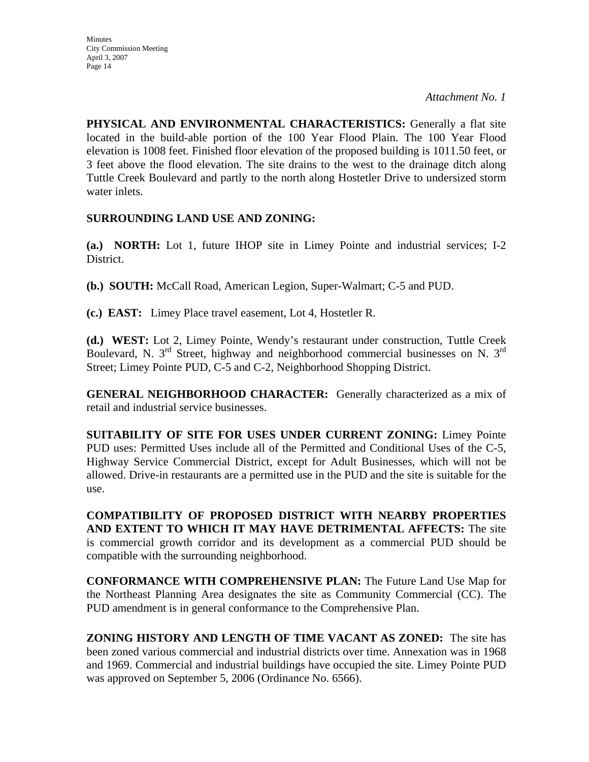*Attachment No. 1* 

**PHYSICAL AND ENVIRONMENTAL CHARACTERISTICS:** Generally a flat site located in the build-able portion of the 100 Year Flood Plain. The 100 Year Flood elevation is 1008 feet. Finished floor elevation of the proposed building is 1011.50 feet, or 3 feet above the flood elevation. The site drains to the west to the drainage ditch along Tuttle Creek Boulevard and partly to the north along Hostetler Drive to undersized storm water inlets.

## **SURROUNDING LAND USE AND ZONING:**

**(a.) NORTH:** Lot 1, future IHOP site in Limey Pointe and industrial services; I-2 District.

**(b.) SOUTH:** McCall Road, American Legion, Super-Walmart; C-5 and PUD.

**(c.) EAST:** Limey Place travel easement, Lot 4, Hostetler R.

**(d.) WEST:** Lot 2, Limey Pointe, Wendy's restaurant under construction, Tuttle Creek Boulevard, N. 3rd Street, highway and neighborhood commercial businesses on N. 3rd Street; Limey Pointe PUD, C-5 and C-2, Neighborhood Shopping District.

**GENERAL NEIGHBORHOOD CHARACTER:** Generally characterized as a mix of retail and industrial service businesses.

**SUITABILITY OF SITE FOR USES UNDER CURRENT ZONING:** Limey Pointe PUD uses: Permitted Uses include all of the Permitted and Conditional Uses of the C-5, Highway Service Commercial District, except for Adult Businesses, which will not be allowed. Drive-in restaurants are a permitted use in the PUD and the site is suitable for the use.

**COMPATIBILITY OF PROPOSED DISTRICT WITH NEARBY PROPERTIES AND EXTENT TO WHICH IT MAY HAVE DETRIMENTAL AFFECTS:** The site is commercial growth corridor and its development as a commercial PUD should be compatible with the surrounding neighborhood.

**CONFORMANCE WITH COMPREHENSIVE PLAN:** The Future Land Use Map for the Northeast Planning Area designates the site as Community Commercial (CC). The PUD amendment is in general conformance to the Comprehensive Plan.

**ZONING HISTORY AND LENGTH OF TIME VACANT AS ZONED:** The site has been zoned various commercial and industrial districts over time. Annexation was in 1968 and 1969. Commercial and industrial buildings have occupied the site. Limey Pointe PUD was approved on September 5, 2006 (Ordinance No. 6566).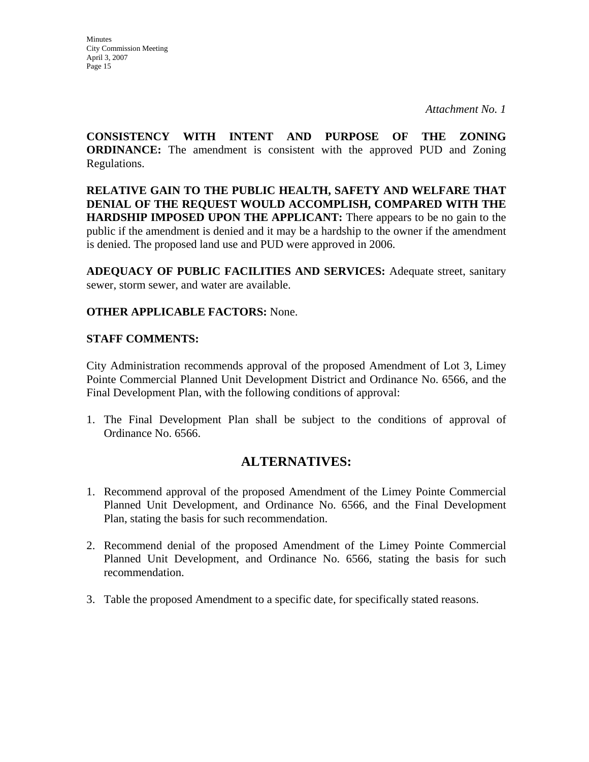*Attachment No. 1* 

**CONSISTENCY WITH INTENT AND PURPOSE OF THE ZONING ORDINANCE:** The amendment is consistent with the approved PUD and Zoning Regulations.

**RELATIVE GAIN TO THE PUBLIC HEALTH, SAFETY AND WELFARE THAT DENIAL OF THE REQUEST WOULD ACCOMPLISH, COMPARED WITH THE HARDSHIP IMPOSED UPON THE APPLICANT:** There appears to be no gain to the public if the amendment is denied and it may be a hardship to the owner if the amendment is denied. The proposed land use and PUD were approved in 2006.

**ADEQUACY OF PUBLIC FACILITIES AND SERVICES:** Adequate street, sanitary sewer, storm sewer, and water are available.

## **OTHER APPLICABLE FACTORS:** None.

## **STAFF COMMENTS:**

City Administration recommends approval of the proposed Amendment of Lot 3, Limey Pointe Commercial Planned Unit Development District and Ordinance No. 6566, and the Final Development Plan, with the following conditions of approval:

1. The Final Development Plan shall be subject to the conditions of approval of Ordinance No. 6566.

## **ALTERNATIVES:**

- 1. Recommend approval of the proposed Amendment of the Limey Pointe Commercial Planned Unit Development, and Ordinance No. 6566, and the Final Development Plan, stating the basis for such recommendation.
- 2. Recommend denial of the proposed Amendment of the Limey Pointe Commercial Planned Unit Development, and Ordinance No. 6566, stating the basis for such recommendation.
- 3. Table the proposed Amendment to a specific date, for specifically stated reasons.